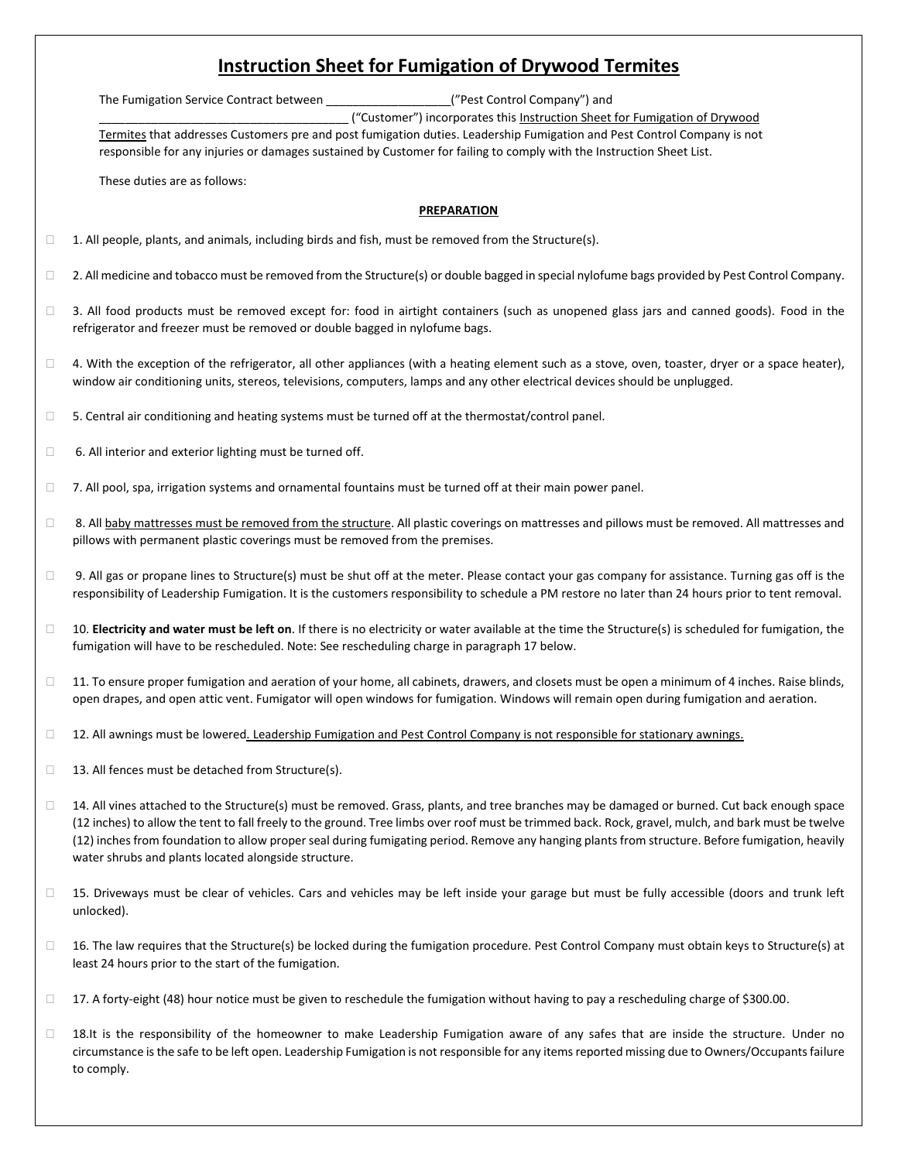# **Instruction Sheet for Fumigation of Drywood Termites**

The Fumigation Service Contract between **Example 2018** ("Pest Control Company") and

\_\_\_\_\_\_\_\_\_\_\_\_\_\_\_\_\_\_\_\_\_\_\_\_\_\_\_\_\_\_\_\_\_\_\_\_\_\_ ("Customer") incorporates this Instruction Sheet for Fumigation of Drywood Termites that addresses Customers pre and post fumigation duties. Leadership Fumigation and Pest Control Company is not

responsible for any injuries or damages sustained by Customer for failing to comply with the Instruction Sheet List.

These duties are as follows:

## **PREPARATION**

- $\Box$  1. All people, plants, and animals, including birds and fish, must be removed from the Structure(s).
- $\Box$  2. All medicine and tobacco must be removed from the Structure(s) or double bagged in special nylofume bags provided by Pest Control Company.
- $\Box$  3. All food products must be removed except for: food in airtight containers (such as unopened glass jars and canned goods). Food in the refrigerator and freezer must be removed or double bagged in nylofume bags.
- $\Box$  4. With the exception of the refrigerator, all other appliances (with a heating element such as a stove, oven, toaster, dryer or a space heater), window air conditioning units, stereos, televisions, computers, lamps and any other electrical devices should be unplugged.
- $\square$  5. Central air conditioning and heating systems must be turned off at the thermostat/control panel.
- □ 6. All interior and exterior lighting must be turned off.
- $\Box$  7. All pool, spa, irrigation systems and ornamental fountains must be turned off at their main power panel.
- □ 8. All baby mattresses must be removed from the structure. All plastic coverings on mattresses and pillows must be removed. All mattresses and pillows with permanent plastic coverings must be removed from the premises.
- $\Box$  9. All gas or propane lines to Structure(s) must be shut off at the meter. Please contact your gas company for assistance. Turning gas off is the responsibility of Leadership Fumigation. It is the customers responsibility to schedule a PM restore no later than 24 hours prior to tent removal.
- □ 10. **Electricity and water must be left on**. If there is no electricity or water available at the time the Structure(s) is scheduled for fumigation, the fumigation will have to be rescheduled. Note: See rescheduling charge in paragraph 17 below.
- $\Box$  11. To ensure proper fumigation and aeration of your home, all cabinets, drawers, and closets must be open a minimum of 4 inches. Raise blinds, open drapes, and open attic vent. Fumigator will open windows for fumigation. Windows will remain open during fumigation and aeration.
- □ 12. All awnings must be lowered. Leadership Fumigation and Pest Control Company is not responsible for stationary awnings.
- $\Box$  13. All fences must be detached from Structure(s).
- $\Box$  14. All vines attached to the Structure(s) must be removed. Grass, plants, and tree branches may be damaged or burned. Cut back enough space (12 inches) to allow the tent to fall freely to the ground. Tree limbs over roof must be trimmed back. Rock, gravel, mulch, and bark must be twelve (12) inches from foundation to allow proper seal during fumigating period. Remove any hanging plants from structure. Before fumigation, heavily water shrubs and plants located alongside structure.
- □ 15. Driveways must be clear of vehicles. Cars and vehicles may be left inside your garage but must be fully accessible (doors and trunk left unlocked).
- $\Box$  16. The law requires that the Structure(s) be locked during the fumigation procedure. Pest Control Company must obtain keys to Structure(s) at least 24 hours prior to the start of the fumigation.
- $\Box$  17. A forty-eight (48) hour notice must be given to reschedule the fumigation without having to pay a rescheduling charge of \$300.00.
- □ 18.It is the responsibility of the homeowner to make Leadership Fumigation aware of any safes that are inside the structure. Under no circumstance isthe safe to be left open. Leadership Fumigation is not responsible for any items reported missing due to Owners/Occupants failure to comply.